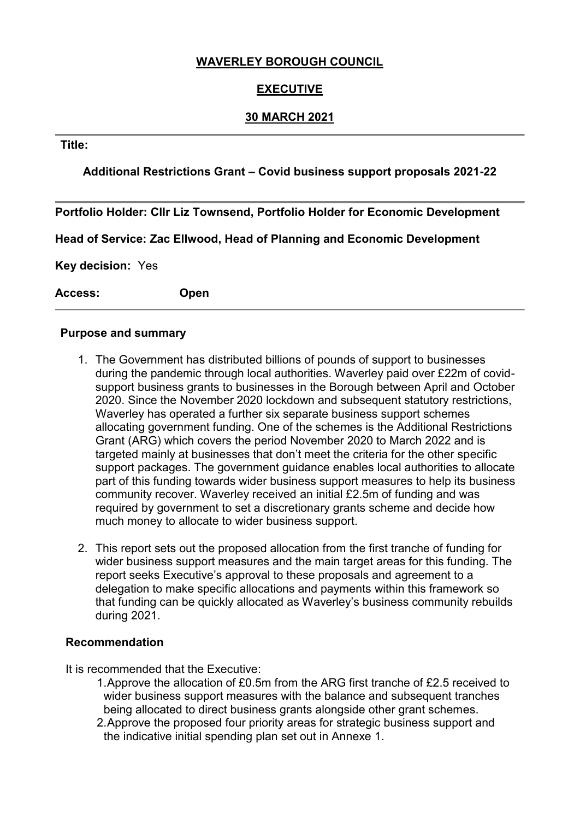# **WAVERLEY BOROUGH COUNCIL**

# **EXECUTIVE**

# **30 MARCH 2021**

### **Title:**

# **Additional Restrictions Grant – Covid business support proposals 2021-22**

**Portfolio Holder: Cllr Liz Townsend, Portfolio Holder for Economic Development**

**Head of Service: Zac Ellwood, Head of Planning and Economic Development**

**Key decision:** Yes

**Access: Open**

#### **Purpose and summary**

- 1. The Government has distributed billions of pounds of support to businesses during the pandemic through local authorities. Waverley paid over £22m of covidsupport business grants to businesses in the Borough between April and October 2020. Since the November 2020 lockdown and subsequent statutory restrictions, Waverley has operated a further six separate business support schemes allocating government funding. One of the schemes is the Additional Restrictions Grant (ARG) which covers the period November 2020 to March 2022 and is targeted mainly at businesses that don't meet the criteria for the other specific support packages. The government guidance enables local authorities to allocate part of this funding towards wider business support measures to help its business community recover. Waverley received an initial £2.5m of funding and was required by government to set a discretionary grants scheme and decide how much money to allocate to wider business support.
- 2. This report sets out the proposed allocation from the first tranche of funding for wider business support measures and the main target areas for this funding. The report seeks Executive's approval to these proposals and agreement to a delegation to make specific allocations and payments within this framework so that funding can be quickly allocated as Waverley's business community rebuilds during 2021.

#### **Recommendation**

It is recommended that the Executive:

- 1.Approve the allocation of £0.5m from the ARG first tranche of £2.5 received to wider business support measures with the balance and subsequent tranches being allocated to direct business grants alongside other grant schemes.
- 2.Approve the proposed four priority areas for strategic business support and the indicative initial spending plan set out in Annexe 1.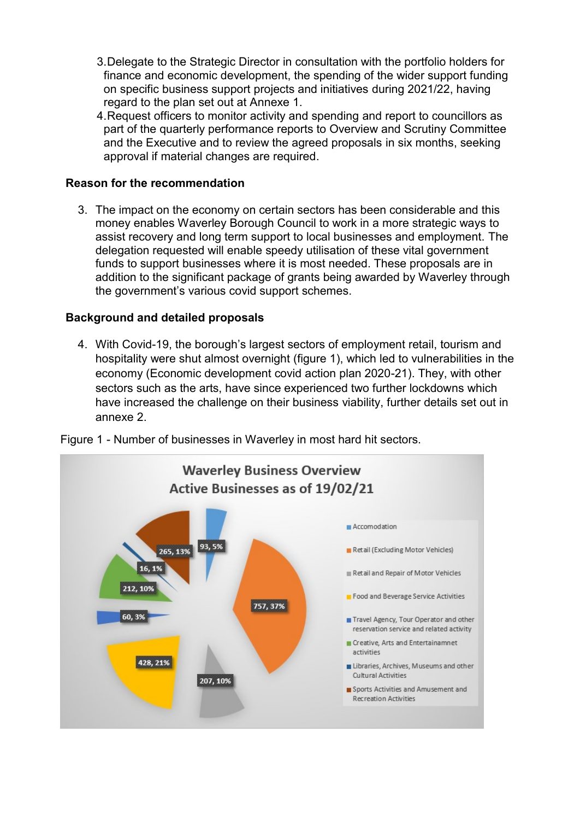- 3.Delegate to the Strategic Director in consultation with the portfolio holders for finance and economic development, the spending of the wider support funding on specific business support projects and initiatives during 2021/22, having regard to the plan set out at Annexe 1.
- 4.Request officers to monitor activity and spending and report to councillors as part of the quarterly performance reports to Overview and Scrutiny Committee and the Executive and to review the agreed proposals in six months, seeking approval if material changes are required.

# **Reason for the recommendation**

3. The impact on the economy on certain sectors has been considerable and this money enables Waverley Borough Council to work in a more strategic ways to assist recovery and long term support to local businesses and employment. The delegation requested will enable speedy utilisation of these vital government funds to support businesses where it is most needed. These proposals are in addition to the significant package of grants being awarded by Waverley through the government's various covid support schemes.

## **Background and detailed proposals**

4. With Covid-19, the borough's largest sectors of employment retail, tourism and hospitality were shut almost overnight (figure 1), which led to vulnerabilities in the economy (Economic development covid action plan 2020-21). They, with other sectors such as the arts, have since experienced two further lockdowns which have increased the challenge on their business viability, further details set out in annexe 2.



Figure 1 - Number of businesses in Waverley in most hard hit sectors.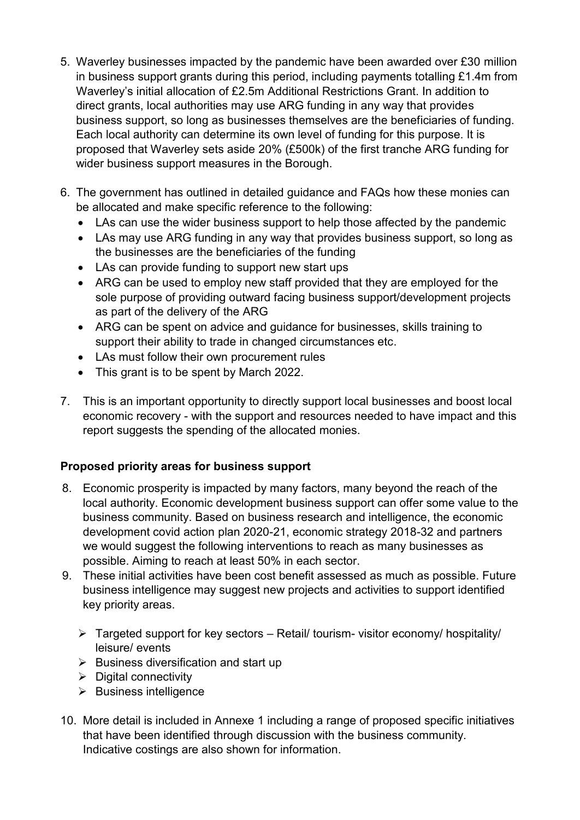- 5. Waverley businesses impacted by the pandemic have been awarded over £30 million in business support grants during this period, including payments totalling £1.4m from Waverley's initial allocation of £2.5m Additional Restrictions Grant. In addition to direct grants, local authorities may use ARG funding in any way that provides business support, so long as businesses themselves are the beneficiaries of funding. Each local authority can determine its own level of funding for this purpose. It is proposed that Waverley sets aside 20% (£500k) of the first tranche ARG funding for wider business support measures in the Borough.
- 6. The government has outlined in detailed guidance and FAQs how these monies can be allocated and make specific reference to the following:
	- LAs can use the wider business support to help those affected by the pandemic
	- LAs may use ARG funding in any way that provides business support, so long as the businesses are the beneficiaries of the funding
	- LAs can provide funding to support new start ups
	- ARG can be used to employ new staff provided that they are employed for the sole purpose of providing outward facing business support/development projects as part of the delivery of the ARG
	- ARG can be spent on advice and guidance for businesses, skills training to support their ability to trade in changed circumstances etc.
	- LAs must follow their own procurement rules
	- This grant is to be spent by March 2022.
- 7. This is an important opportunity to directly support local businesses and boost local economic recovery - with the support and resources needed to have impact and this report suggests the spending of the allocated monies.

# **Proposed priority areas for business support**

- 8. Economic prosperity is impacted by many factors, many beyond the reach of the local authority. Economic development business support can offer some value to the business community. Based on business research and intelligence, the economic development covid action plan 2020-21, economic strategy 2018-32 and partners we would suggest the following interventions to reach as many businesses as possible. Aiming to reach at least 50% in each sector.
- 9. These initial activities have been cost benefit assessed as much as possible. Future business intelligence may suggest new projects and activities to support identified key priority areas.
	- $\triangleright$  Targeted support for key sectors Retail/ tourism- visitor economy/ hospitality/ leisure/ events
	- $\triangleright$  Business diversification and start up
	- $\triangleright$  Digital connectivity
	- $\triangleright$  Business intelligence
- 10. More detail is included in Annexe 1 including a range of proposed specific initiatives that have been identified through discussion with the business community. Indicative costings are also shown for information.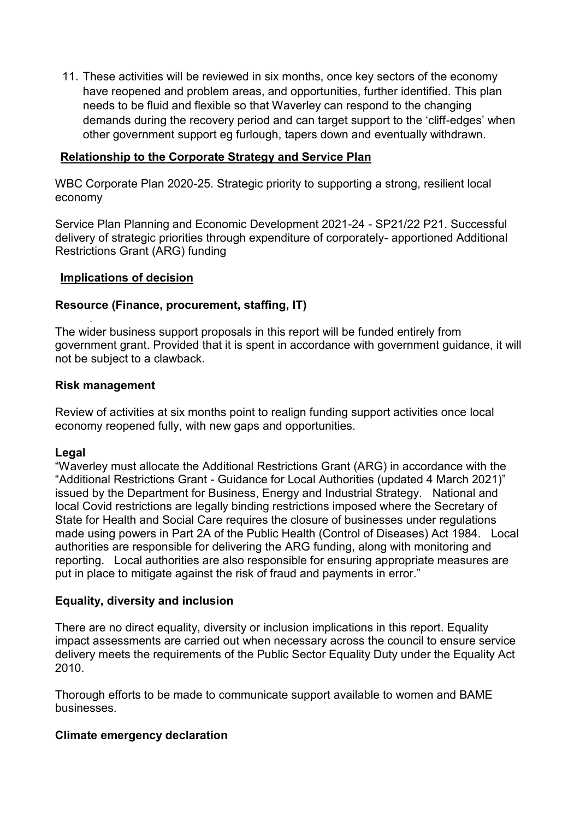11. These activities will be reviewed in six months, once key sectors of the economy have reopened and problem areas, and opportunities, further identified. This plan needs to be fluid and flexible so that Waverley can respond to the changing demands during the recovery period and can target support to the 'cliff-edges' when other government support eg furlough, tapers down and eventually withdrawn.

## **Relationship to the Corporate Strategy and Service Plan**

WBC Corporate Plan 2020-25. Strategic priority to supporting a strong, resilient local economy

Service Plan Planning and Economic Development 2021-24 - SP21/22 P21. Successful delivery of strategic priorities through expenditure of corporately- apportioned Additional Restrictions Grant (ARG) funding

## **Implications of decision**

#### **Resource (Finance, procurement, staffing, IT)**

*.* The wider business support proposals in this report will be funded entirely from government grant. Provided that it is spent in accordance with government guidance, it will not be subject to a clawback.

#### **Risk management**

Review of activities at six months point to realign funding support activities once local economy reopened fully, with new gaps and opportunities.

## **Legal**

"Waverley must allocate the Additional Restrictions Grant (ARG) in accordance with the "Additional Restrictions Grant - Guidance for Local Authorities (updated 4 March 2021)" issued by the Department for Business, Energy and Industrial Strategy. National and local Covid restrictions are legally binding restrictions imposed where the Secretary of State for Health and Social Care requires the closure of businesses under regulations made using powers in Part 2A of the Public Health (Control of Diseases) Act 1984. Local authorities are responsible for delivering the ARG funding, along with monitoring and reporting. Local authorities are also responsible for ensuring appropriate measures are put in place to mitigate against the risk of fraud and payments in error."

## **Equality, diversity and inclusion**

There are no direct equality, diversity or inclusion implications in this report. Equality impact assessments are carried out when necessary across the council to ensure service delivery meets the requirements of the Public Sector Equality Duty under the Equality Act 2010.

Thorough efforts to be made to communicate support available to women and BAME businesses.

#### **Climate emergency declaration**